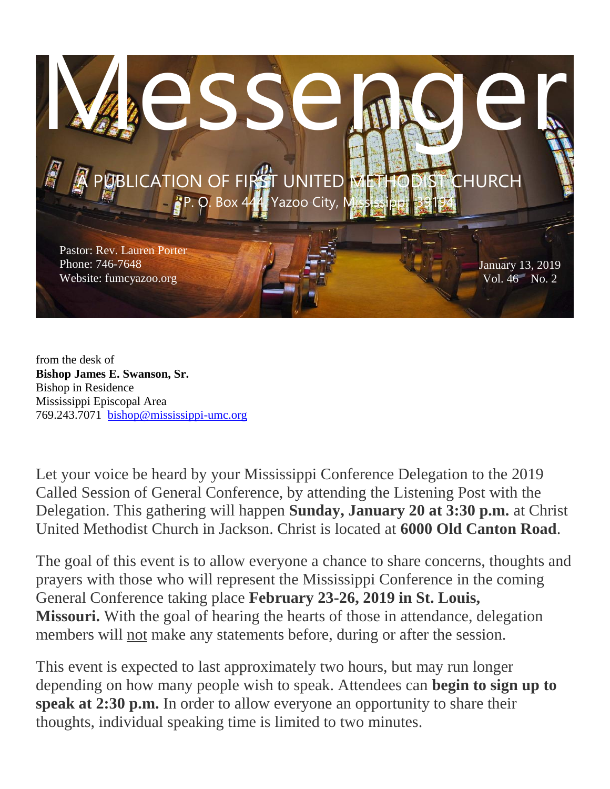

from the desk of **Bishop James E. Swanson, Sr.** Bishop in Residence Mississippi Episcopal Area 769.243.7071 [bishop@mississippi-umc.org](mailto:[[bishop@mississippi-umc.org]])

Let your voice be heard by your Mississippi Conference Delegation to the 2019 Called Session of General Conference, by attending the Listening Post with the Delegation. This gathering will happen **Sunday, January 20 at 3:30 p.m.** at Christ United Methodist Church in Jackson. Christ is located at **6000 Old Canton Road**.

The goal of this event is to allow everyone a chance to share concerns, thoughts and prayers with those who will represent the Mississippi Conference in the coming General Conference taking place **February 23-26, 2019 in St. Louis, Missouri.** With the goal of hearing the hearts of those in attendance, delegation members will not make any statements before, during or after the session.

This event is expected to last approximately two hours, but may run longer depending on how many people wish to speak. Attendees can **begin to sign up to speak at 2:30 p.m.** In order to allow everyone an opportunity to share their thoughts, individual speaking time is limited to two minutes.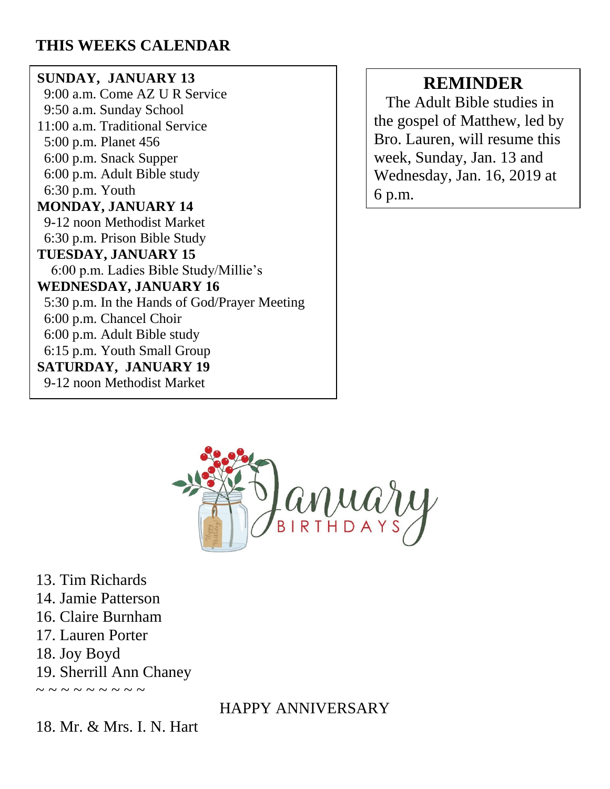# **THIS WEEKS CALENDAR**

# **SUNDAY, JANUARY 13**

 9:00 a.m. Come AZ U R Service 9:50 a.m. Sunday School 11:00 a.m. Traditional Service 5:00 p.m. Planet 456 6:00 p.m. Snack Supper 6:00 p.m. Adult Bible study 6:30 p.m. Youth **MONDAY, JANUARY 14** 9-12 noon Methodist Market 6:30 p.m. Prison Bible Study **TUESDAY, JANUARY 15** 6:00 p.m. Ladies Bible Study/Millie's **WEDNESDAY, JANUARY 16** 5:30 p.m. In the Hands of God/Prayer Meeting 6:00 p.m. Chancel Choir 6:00 p.m. Adult Bible study 6:15 p.m. Youth Small Group **SATURDAY, JANUARY 19** 9-12 noon Methodist Market

# **REMINDER**

 The Adult Bible studies in the gospel of Matthew, led by Bro. Lauren, will resume this week, Sunday, Jan. 13 and Wednesday, Jan. 16, 2019 at 6 p.m.



13. Tim Richards 14. Jamie Patterson 16. Claire Burnham 17. Lauren Porter 18. Joy Boyd 19. Sherrill Ann Chaney

~ ~ ~ ~ ~ ~ ~ ~

HAPPY ANNIVERSARY

18. Mr. & Mrs. I. N. Hart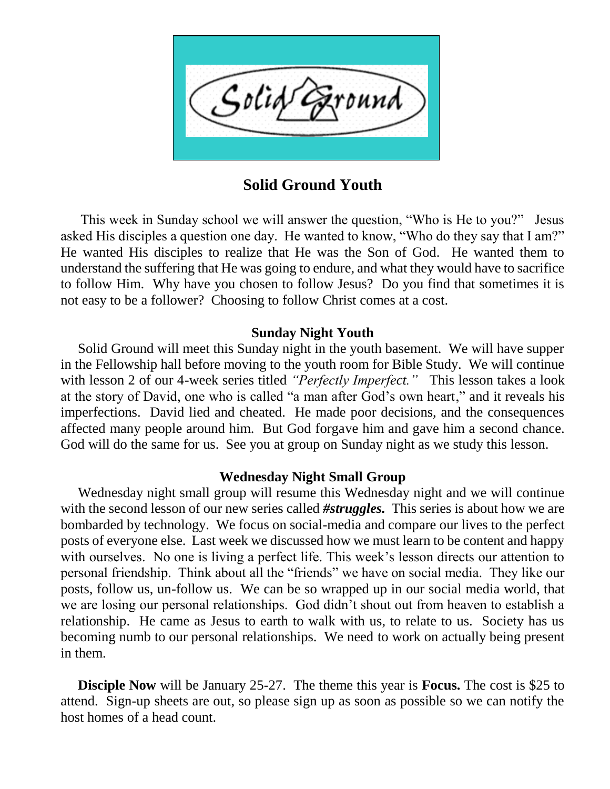

**Solid Ground Youth**

 This week in Sunday school we will answer the question, "Who is He to you?" Jesus asked His disciples a question one day. He wanted to know, "Who do they say that I am?" He wanted His disciples to realize that He was the Son of God. He wanted them to understand the suffering that He was going to endure, and what they would have to sacrifice to follow Him. Why have you chosen to follow Jesus? Do you find that sometimes it is not easy to be a follower? Choosing to follow Christ comes at a cost.

#### **Sunday Night Youth**

 Solid Ground will meet this Sunday night in the youth basement. We will have supper in the Fellowship hall before moving to the youth room for Bible Study. We will continue with lesson 2 of our 4-week series titled *"Perfectly Imperfect."* This lesson takes a look at the story of David, one who is called "a man after God's own heart," and it reveals his imperfections. David lied and cheated. He made poor decisions, and the consequences affected many people around him. But God forgave him and gave him a second chance. God will do the same for us. See you at group on Sunday night as we study this lesson.

#### **Wednesday Night Small Group**

 Wednesday night small group will resume this Wednesday night and we will continue with the second lesson of our new series called *#struggles.* This series is about how we are bombarded by technology. We focus on social-media and compare our lives to the perfect posts of everyone else. Last week we discussed how we must learn to be content and happy with ourselves. No one is living a perfect life. This week's lesson directs our attention to personal friendship. Think about all the "friends" we have on social media. They like our posts, follow us, un-follow us. We can be so wrapped up in our social media world, that we are losing our personal relationships. God didn't shout out from heaven to establish a relationship. He came as Jesus to earth to walk with us, to relate to us. Society has us becoming numb to our personal relationships. We need to work on actually being present in them.

 **Disciple Now** will be January 25-27. The theme this year is **Focus.** The cost is \$25 to attend. Sign-up sheets are out, so please sign up as soon as possible so we can notify the host homes of a head count.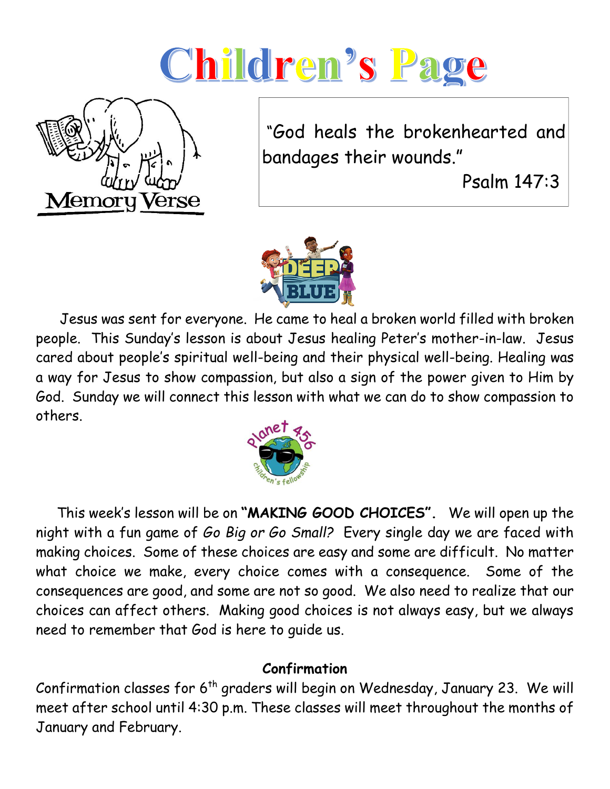# Children's Page



"God heals the brokenhearted and bandages their wounds."

Psalm 147:3



 Jesus was sent for everyone. He came to heal a broken world filled with broken people. This Sunday's lesson is about Jesus healing Peter's mother-in-law. Jesus cared about people's spiritual well-being and their physical well-being. Healing was a way for Jesus to show compassion, but also a sign of the power given to Him by God. Sunday we will connect this lesson with what we can do to show compassion to others.



 This week's lesson will be on **"MAKING GOOD CHOICES".** We will open up the night with a fun game of *Go Big or Go Small?* Every single day we are faced with making choices. Some of these choices are easy and some are difficult. No matter what choice we make, every choice comes with a consequence. Some of the consequences are good, and some are not so good. We also need to realize that our choices can affect others. Making good choices is not always easy, but we always need to remember that God is here to guide us.

# **Confirmation**

Confirmation classes for  $6<sup>th</sup>$  graders will begin on Wednesday, January 23. We will meet after school until 4:30 p.m. These classes will meet throughout the months of January and February.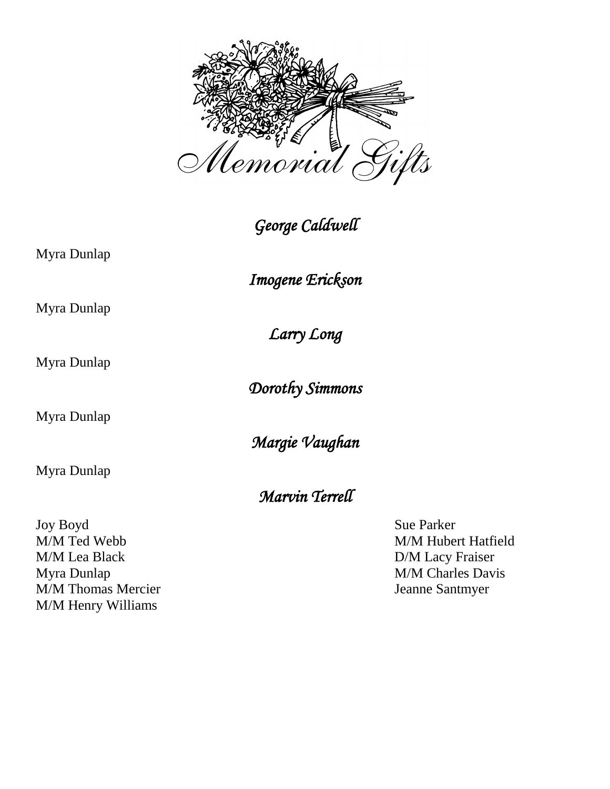

*George Caldwell* 

Myra Dunlap

*Imogene Erickson* 

*Larry Long* 

Myra Dunlap

Myra Dunlap

Myra Dunlap

Myra Dunlap

Joy Boyd Sue Parker M/M Ted Webb M/M Hubert Hatfield M/M Lea Black D/M Lacy Fraiser Myra Dunlap M/M Charles Davis M/M Thomas Mercier Jeanne Santmyer M/M Henry Williams

*Margie Vaughan* 

*Dorothy Simmons* 

*Marvin Terrell*